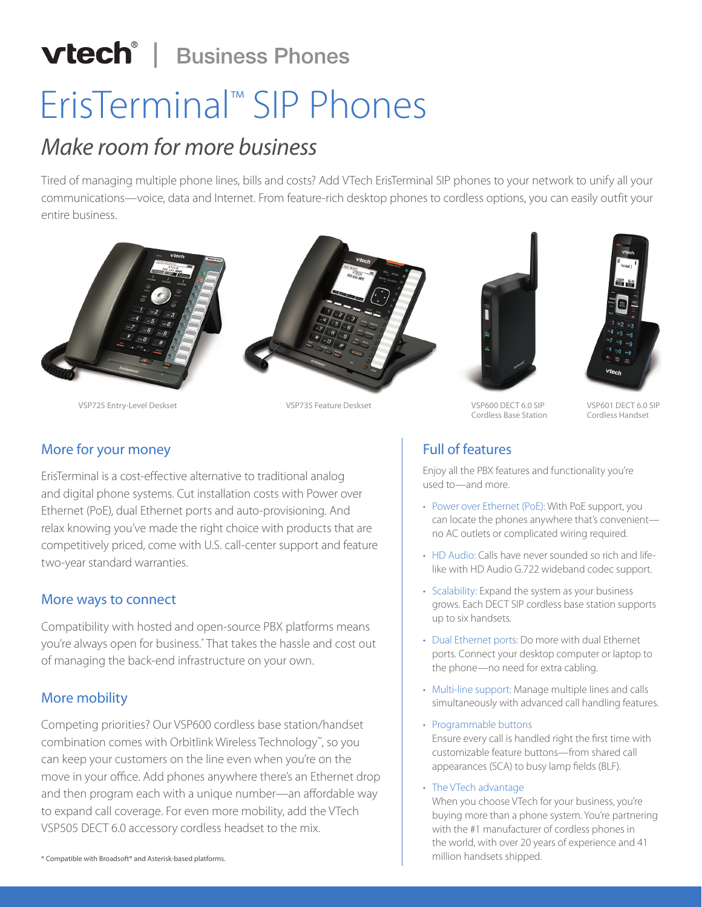## **vtech<sup>®</sup>** | Business Phones

# ErisTerminal™ SIP Phones

### *Make room for more business*

Tired of managing multiple phone lines, bills and costs? Add VTech ErisTerminal SIP phones to your network to unify all your communications—voice, data and Internet. From feature-rich desktop phones to cordless options, you can easily outfit your entire business.



VSP725 Entry-Level Deskset VSP735 Feature Deskset VSP600 DECT 6.0 SIP





Cordless Base Station

VSP601 DECT 6.0 SIP Cordless Handset

#### Full of features

Enjoy all the PBX features and functionality you're used to—and more.

- Power over Ethernet (PoE): With PoE support, you can locate the phones anywhere that's convenient no AC outlets or complicated wiring required.
- HD Audio: Calls have never sounded so rich and lifelike with HD Audio G.722 wideband codec support.
- Scalability: Expand the system as your business grows. Each DECT SIP cordless base station supports up to six handsets.
- Dual Ethernet ports: Do more with dual Ethernet ports. Connect your desktop computer or laptop to the phone—no need for extra cabling.
- Multi-line support: Manage multiple lines and calls simultaneously with advanced call handling features.
- Programmable buttons Ensure every call is handled right the first time with customizable feature buttons—from shared call appearances (SCA) to busy lamp fields (BLF).
- The VTech advantage

When you choose VTech for your business, you're buying more than a phone system. You're partnering with the #1 manufacturer of cordless phones in the world, with over 20 years of experience and 41

#### More for your money

ErisTerminal is a cost-effective alternative to traditional analog and digital phone systems. Cut installation costs with Power over Ethernet (PoE), dual Ethernet ports and auto-provisioning. And relax knowing you've made the right choice with products that are competitively priced, come with U.S. call-center support and feature two-year standard warranties.

#### More ways to connect

Compatibility with hosted and open-source PBX platforms means you're always open for business.\* That takes the hassle and cost out of managing the back-end infrastructure on your own.

#### More mobility

Competing priorities? Our VSP600 cordless base station/handset combination comes with Orbitlink Wireless Technology™, so you can keep your customers on the line even when you're on the move in your office. Add phones anywhere there's an Ethernet drop and then program each with a unique number—an affordable way to expand call coverage. For even more mobility, add the VTech VSP505 DECT 6.0 accessory cordless headset to the mix.